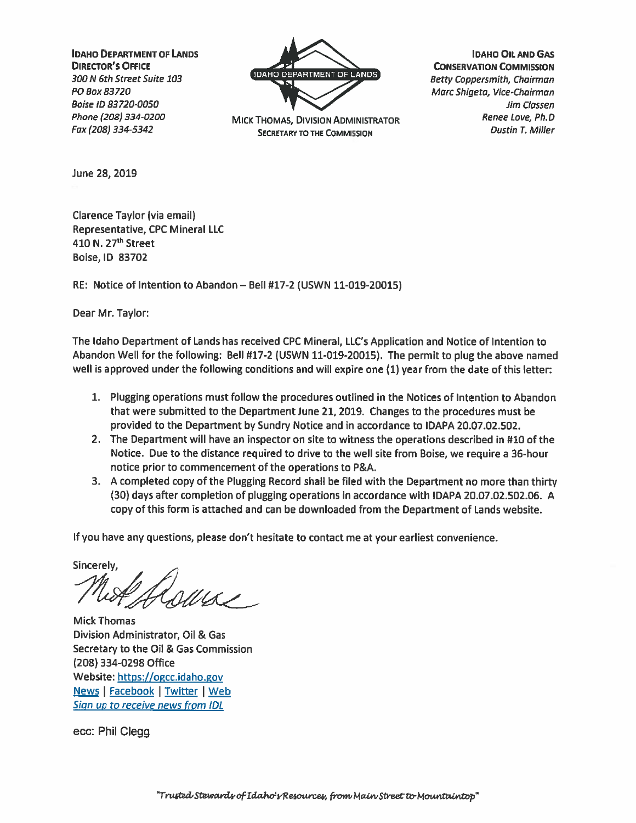**IDAHO DEPARTMENT OF LANDS DIRECTOR'S OFFICE** 300 N 6th Street Suite 103 PO Box 83720 **Boise ID 83720-0050** Phone (208) 334-0200 Fax (208) 334-5342



**MICK THOMAS, DIVISION ADMINISTRATOR SECRETARY TO THE COMMISSION** 

**IDAHO OIL AND GAS CONSERVATION COMMISSION Betty Coppersmith, Chairman** Marc Shigeta, Vice-Chairman Jim Classen Renee Love, Ph.D **Dustin T. Miller** 

June 28, 2019

Clarence Taylor (via email) **Representative, CPC Mineral LLC** 410 N. 27<sup>th</sup> Street Boise, ID 83702

RE: Notice of Intention to Abandon - Bell #17-2 (USWN 11-019-20015)

Dear Mr. Taylor:

The Idaho Department of Lands has received CPC Mineral, LLC's Application and Notice of Intention to Abandon Well for the following: Bell #17-2 (USWN 11-019-20015). The permit to plug the above named well is approved under the following conditions and will expire one (1) year from the date of this letter:

- 1. Plugging operations must follow the procedures outlined in the Notices of Intention to Abandon that were submitted to the Department June 21, 2019. Changes to the procedures must be provided to the Department by Sundry Notice and in accordance to IDAPA 20.07.02.502.
- 2. The Department will have an inspector on site to witness the operations described in #10 of the Notice. Due to the distance required to drive to the well site from Boise, we require a 36-hour notice prior to commencement of the operations to P&A.
- 3. A completed copy of the Plugging Record shall be filed with the Department no more than thirty (30) days after completion of plugging operations in accordance with IDAPA 20.07.02.502.06. A copy of this form is attached and can be downloaded from the Department of Lands website.

If you have any questions, please don't hesitate to contact me at your earliest convenience.

Sincerely,

 $1112$ 

**Mick Thomas** Division Administrator, Oil & Gas Secretary to the Oil & Gas Commission (208) 334-0298 Office Website: https://ogcc.idaho.gov News | Facebook | Twitter | Web Sign up to receive news from IDL

ecc: Phil Clegg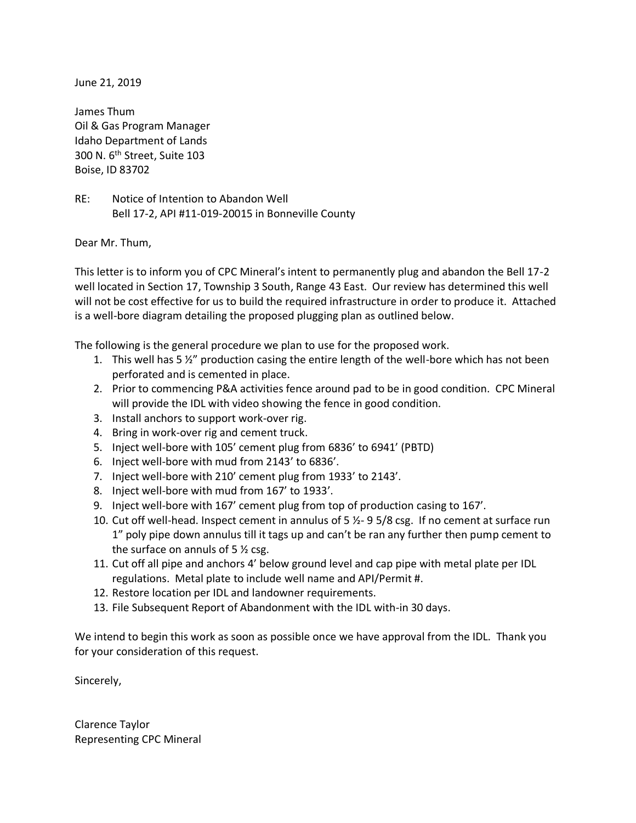June 21, 2019

James Thum Oil & Gas Program Manager Idaho Department of Lands 300 N. 6th Street, Suite 103 Boise, ID 83702

RE: Notice of Intention to Abandon Well Bell 17-2, API #11-019-20015 in Bonneville County

Dear Mr. Thum,

This letter is to inform you of CPC Mineral's intent to permanently plug and abandon the Bell 17-2 well located in Section 17, Township 3 South, Range 43 East. Our review has determined this well will not be cost effective for us to build the required infrastructure in order to produce it. Attached is a well-bore diagram detailing the proposed plugging plan as outlined below.

The following is the general procedure we plan to use for the proposed work.

- 1. This well has 5 ½" production casing the entire length of the well-bore which has not been perforated and is cemented in place.
- 2. Prior to commencing P&A activities fence around pad to be in good condition. CPC Mineral will provide the IDL with video showing the fence in good condition.
- 3. Install anchors to support work-over rig.
- 4. Bring in work-over rig and cement truck.
- 5. Inject well-bore with 105' cement plug from 6836' to 6941' (PBTD)
- 6. Inject well-bore with mud from 2143' to 6836'.
- 7. Inject well-bore with 210' cement plug from 1933' to 2143'.
- 8. Inject well-bore with mud from 167' to 1933'.
- 9. Inject well-bore with 167' cement plug from top of production casing to 167'.
- 10. Cut off well-head. Inspect cement in annulus of 5 ½- 9 5/8 csg. If no cement at surface run 1" poly pipe down annulus till it tags up and can't be ran any further then pump cement to the surface on annuls of 5  $\frac{1}{2}$  csg.
- 11. Cut off all pipe and anchors 4' below ground level and cap pipe with metal plate per IDL regulations. Metal plate to include well name and API/Permit #.
- 12. Restore location per IDL and landowner requirements.
- 13. File Subsequent Report of Abandonment with the IDL with-in 30 days.

We intend to begin this work as soon as possible once we have approval from the IDL. Thank you for your consideration of this request.

Sincerely,

Clarence Taylor Representing CPC Mineral